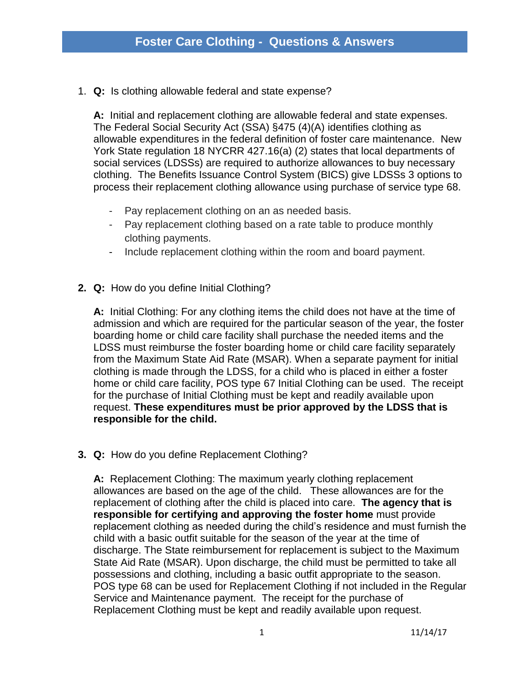1. **Q:** Is clothing allowable federal and state expense?

**A:** Initial and replacement clothing are allowable federal and state expenses. The Federal Social Security Act (SSA) §475 (4)(A) identifies clothing as allowable expenditures in the federal definition of foster care maintenance. New York State regulation 18 NYCRR 427.16(a) (2) states that local departments of social services (LDSSs) are required to authorize allowances to buy necessary clothing. The Benefits Issuance Control System (BICS) give LDSSs 3 options to process their replacement clothing allowance using purchase of service type 68.

- Pay replacement clothing on an as needed basis.
- Pay replacement clothing based on a rate table to produce monthly clothing payments.
- Include replacement clothing within the room and board payment.
- **2. Q:** How do you define Initial Clothing?

**A:** Initial Clothing: For any clothing items the child does not have at the time of admission and which are required for the particular season of the year, the foster boarding home or child care facility shall purchase the needed items and the LDSS must reimburse the foster boarding home or child care facility separately from the Maximum State Aid Rate (MSAR). When a separate payment for initial clothing is made through the LDSS, for a child who is placed in either a foster home or child care facility, POS type 67 Initial Clothing can be used. The receipt for the purchase of Initial Clothing must be kept and readily available upon request. **These expenditures must be prior approved by the LDSS that is responsible for the child.**

**3. Q:** How do you define Replacement Clothing?

**A:** Replacement Clothing: The maximum yearly clothing replacement allowances are based on the age of the child. These allowances are for the replacement of clothing after the child is placed into care. **The agency that is responsible for certifying and approving the foster home** must provide replacement clothing as needed during the child's residence and must furnish the child with a basic outfit suitable for the season of the year at the time of discharge. The State reimbursement for replacement is subject to the Maximum State Aid Rate (MSAR). Upon discharge, the child must be permitted to take all possessions and clothing, including a basic outfit appropriate to the season. POS type 68 can be used for Replacement Clothing if not included in the Regular Service and Maintenance payment. The receipt for the purchase of Replacement Clothing must be kept and readily available upon request.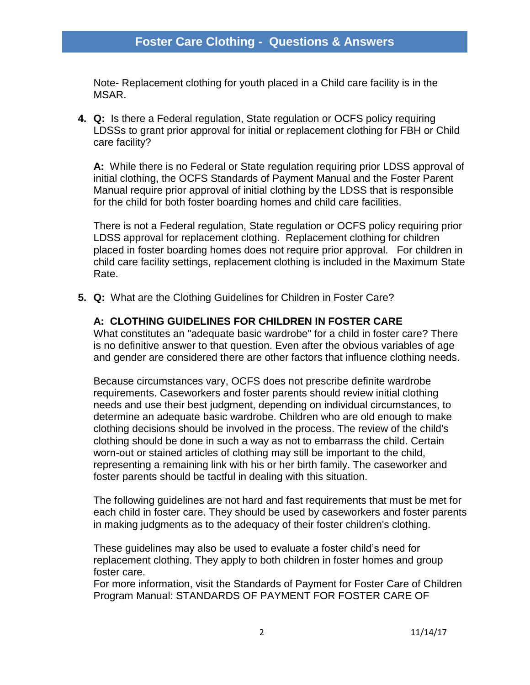Note- Replacement clothing for youth placed in a Child care facility is in the MSAR.

**4. Q:** Is there a Federal regulation, State regulation or OCFS policy requiring LDSSs to grant prior approval for initial or replacement clothing for FBH or Child care facility?

**A:** While there is no Federal or State regulation requiring prior LDSS approval of initial clothing, the OCFS Standards of Payment Manual and the Foster Parent Manual require prior approval of initial clothing by the LDSS that is responsible for the child for both foster boarding homes and child care facilities.

There is not a Federal regulation, State regulation or OCFS policy requiring prior LDSS approval for replacement clothing. Replacement clothing for children placed in foster boarding homes does not require prior approval. For children in child care facility settings, replacement clothing is included in the Maximum State Rate.

**5. Q:** What are the Clothing Guidelines for Children in Foster Care?

## **A: CLOTHING GUIDELINES FOR CHILDREN IN FOSTER CARE**

What constitutes an "adequate basic wardrobe" for a child in foster care? There is no definitive answer to that question. Even after the obvious variables of age and gender are considered there are other factors that influence clothing needs.

Because circumstances vary, OCFS does not prescribe definite wardrobe requirements. Caseworkers and foster parents should review initial clothing needs and use their best judgment, depending on individual circumstances, to determine an adequate basic wardrobe. Children who are old enough to make clothing decisions should be involved in the process. The review of the child's clothing should be done in such a way as not to embarrass the child. Certain worn-out or stained articles of clothing may still be important to the child, representing a remaining link with his or her birth family. The caseworker and foster parents should be tactful in dealing with this situation.

The following guidelines are not hard and fast requirements that must be met for each child in foster care. They should be used by caseworkers and foster parents in making judgments as to the adequacy of their foster children's clothing.

These guidelines may also be used to evaluate a foster child's need for replacement clothing. They apply to both children in foster homes and group foster care.

For more information, visit the Standards of Payment for Foster Care of Children Program Manual: STANDARDS OF PAYMENT FOR FOSTER CARE OF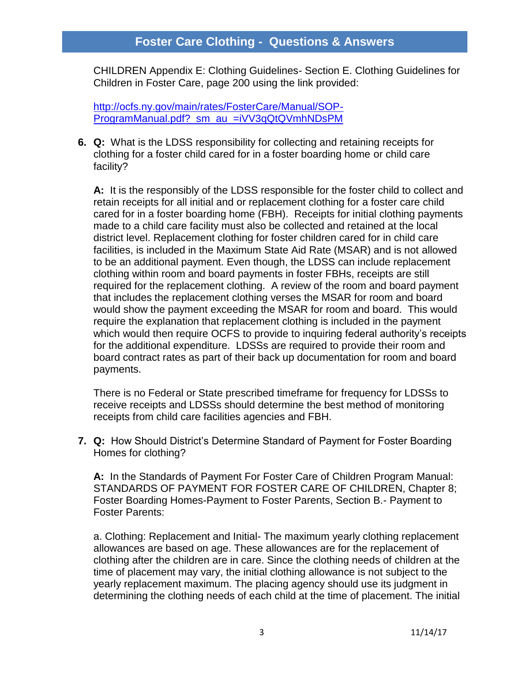# **Foster Care Clothing - Questions & Answers**

CHILDREN Appendix E: Clothing Guidelines- Section E. Clothing Guidelines for Children in Foster Care, page 200 using the link provided:

[http://ocfs.ny.gov/main/rates/FosterCare/Manual/SOP-](http://ocfs.ny.gov/main/rates/FosterCare/Manual/SOP-ProgramManual.pdf?_sm_au_=iVV3qQtQVmhNDsPM)[ProgramManual.pdf?\\_sm\\_au\\_=iVV3qQtQVmhNDsPM](http://ocfs.ny.gov/main/rates/FosterCare/Manual/SOP-ProgramManual.pdf?_sm_au_=iVV3qQtQVmhNDsPM)

**6. Q:** What is the LDSS responsibility for collecting and retaining receipts for clothing for a foster child cared for in a foster boarding home or child care facility?

**A:** It is the responsibly of the LDSS responsible for the foster child to collect and retain receipts for all initial and or replacement clothing for a foster care child cared for in a foster boarding home (FBH). Receipts for initial clothing payments made to a child care facility must also be collected and retained at the local district level. Replacement clothing for foster children cared for in child care facilities, is included in the Maximum State Aid Rate (MSAR) and is not allowed to be an additional payment. Even though, the LDSS can include replacement clothing within room and board payments in foster FBHs, receipts are still required for the replacement clothing. A review of the room and board payment that includes the replacement clothing verses the MSAR for room and board would show the payment exceeding the MSAR for room and board. This would require the explanation that replacement clothing is included in the payment which would then require OCFS to provide to inquiring federal authority's receipts for the additional expenditure. LDSSs are required to provide their room and board contract rates as part of their back up documentation for room and board payments.

There is no Federal or State prescribed timeframe for frequency for LDSSs to receive receipts and LDSSs should determine the best method of monitoring receipts from child care facilities agencies and FBH.

**7. Q:** How Should District's Determine Standard of Payment for Foster Boarding Homes for clothing?

**A:** In the Standards of Payment For Foster Care of Children Program Manual: STANDARDS OF PAYMENT FOR FOSTER CARE OF CHILDREN, Chapter 8; Foster Boarding Homes-Payment to Foster Parents, Section B.- Payment to Foster Parents:

a. Clothing: Replacement and Initial- The maximum yearly clothing replacement allowances are based on age. These allowances are for the replacement of clothing after the children are in care. Since the clothing needs of children at the time of placement may vary, the initial clothing allowance is not subject to the yearly replacement maximum. The placing agency should use its judgment in determining the clothing needs of each child at the time of placement. The initial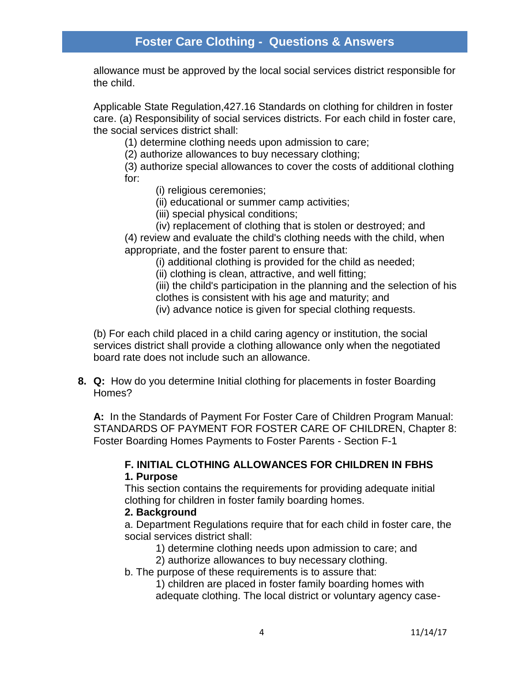allowance must be approved by the local social services district responsible for the child.

Applicable State Regulation,427.16 Standards on clothing for children in foster care. (a) Responsibility of social services districts. For each child in foster care, the social services district shall:

(1) determine clothing needs upon admission to care;

(2) authorize allowances to buy necessary clothing;

(3) authorize special allowances to cover the costs of additional clothing for:

(i) religious ceremonies;

(ii) educational or summer camp activities;

(iii) special physical conditions;

(iv) replacement of clothing that is stolen or destroyed; and

(4) review and evaluate the child's clothing needs with the child, when appropriate, and the foster parent to ensure that:

(i) additional clothing is provided for the child as needed;

(ii) clothing is clean, attractive, and well fitting;

(iii) the child's participation in the planning and the selection of his clothes is consistent with his age and maturity; and

(iv) advance notice is given for special clothing requests.

(b) For each child placed in a child caring agency or institution, the social services district shall provide a clothing allowance only when the negotiated board rate does not include such an allowance.

**8. Q:** How do you determine Initial clothing for placements in foster Boarding Homes?

**A:** In the Standards of Payment For Foster Care of Children Program Manual: STANDARDS OF PAYMENT FOR FOSTER CARE OF CHILDREN, Chapter 8: Foster Boarding Homes Payments to Foster Parents - Section F-1

### **F. INITIAL CLOTHING ALLOWANCES FOR CHILDREN IN FBHS 1. Purpose**

This section contains the requirements for providing adequate initial clothing for children in foster family boarding homes.

## **2. Background**

a. Department Regulations require that for each child in foster care, the social services district shall:

1) determine clothing needs upon admission to care; and

2) authorize allowances to buy necessary clothing.

b. The purpose of these requirements is to assure that:

1) children are placed in foster family boarding homes with adequate clothing. The local district or voluntary agency case-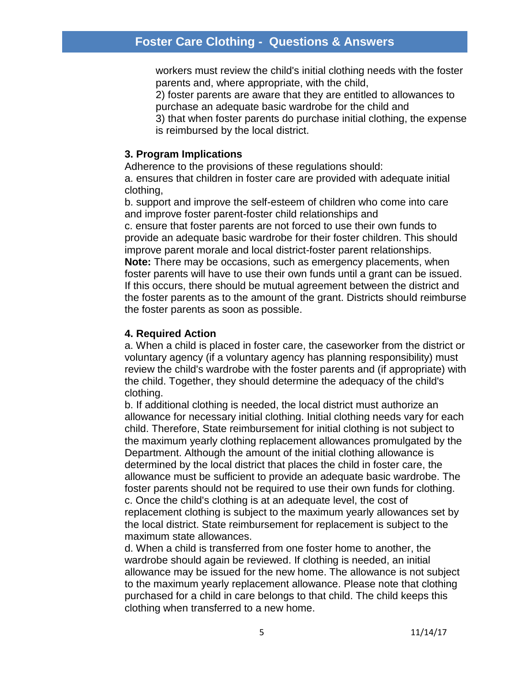## **Foster Care Clothing - Questions & Answers**

workers must review the child's initial clothing needs with the foster parents and, where appropriate, with the child,

2) foster parents are aware that they are entitled to allowances to purchase an adequate basic wardrobe for the child and

3) that when foster parents do purchase initial clothing, the expense is reimbursed by the local district.

#### **3. Program Implications**

Adherence to the provisions of these regulations should:

a. ensures that children in foster care are provided with adequate initial clothing,

b. support and improve the self-esteem of children who come into care and improve foster parent-foster child relationships and c. ensure that foster parents are not forced to use their own funds to provide an adequate basic wardrobe for their foster children. This should improve parent morale and local district-foster parent relationships. **Note:** There may be occasions, such as emergency placements, when foster parents will have to use their own funds until a grant can be issued. If this occurs, there should be mutual agreement between the district and the foster parents as to the amount of the grant. Districts should reimburse the foster parents as soon as possible.

#### **4. Required Action**

a. When a child is placed in foster care, the caseworker from the district or voluntary agency (if a voluntary agency has planning responsibility) must review the child's wardrobe with the foster parents and (if appropriate) with the child. Together, they should determine the adequacy of the child's clothing.

b. If additional clothing is needed, the local district must authorize an allowance for necessary initial clothing. Initial clothing needs vary for each child. Therefore, State reimbursement for initial clothing is not subject to the maximum yearly clothing replacement allowances promulgated by the Department. Although the amount of the initial clothing allowance is determined by the local district that places the child in foster care, the allowance must be sufficient to provide an adequate basic wardrobe. The foster parents should not be required to use their own funds for clothing. c. Once the child's clothing is at an adequate level, the cost of replacement clothing is subject to the maximum yearly allowances set by the local district. State reimbursement for replacement is subject to the maximum state allowances.

d. When a child is transferred from one foster home to another, the wardrobe should again be reviewed. If clothing is needed, an initial allowance may be issued for the new home. The allowance is not subject to the maximum yearly replacement allowance. Please note that clothing purchased for a child in care belongs to that child. The child keeps this clothing when transferred to a new home.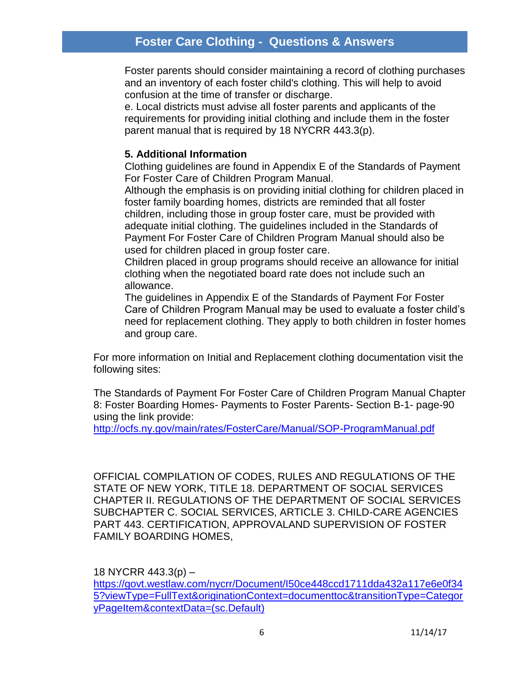# **Foster Care Clothing - Questions & Answers**

Foster parents should consider maintaining a record of clothing purchases and an inventory of each foster child's clothing. This will help to avoid confusion at the time of transfer or discharge.

e. Local districts must advise all foster parents and applicants of the requirements for providing initial clothing and include them in the foster parent manual that is required by 18 NYCRR 443.3(p).

### **5. Additional Information**

Clothing guidelines are found in Appendix E of the Standards of Payment For Foster Care of Children Program Manual.

Although the emphasis is on providing initial clothing for children placed in foster family boarding homes, districts are reminded that all foster children, including those in group foster care, must be provided with adequate initial clothing. The guidelines included in the Standards of Payment For Foster Care of Children Program Manual should also be used for children placed in group foster care.

Children placed in group programs should receive an allowance for initial clothing when the negotiated board rate does not include such an allowance.

The guidelines in Appendix E of the Standards of Payment For Foster Care of Children Program Manual may be used to evaluate a foster child's need for replacement clothing. They apply to both children in foster homes and group care.

For more information on Initial and Replacement clothing documentation visit the following sites:

The Standards of Payment For Foster Care of Children Program Manual Chapter 8: Foster Boarding Homes- Payments to Foster Parents- Section B-1- page-90 using the link provide:

<http://ocfs.ny.gov/main/rates/FosterCare/Manual/SOP-ProgramManual.pdf>

OFFICIAL COMPILATION OF CODES, RULES AND REGULATIONS OF THE STATE OF NEW YORK, TITLE 18. DEPARTMENT OF SOCIAL SERVICES CHAPTER II. REGULATIONS OF THE DEPARTMENT OF SOCIAL SERVICES SUBCHAPTER C. SOCIAL SERVICES, ARTICLE 3. CHILD-CARE AGENCIES PART 443. CERTIFICATION, APPROVALAND SUPERVISION OF FOSTER FAMILY BOARDING HOMES,

18 NYCRR 443.3(p) –

[https://govt.westlaw.com/nycrr/Document/I50ce448ccd1711dda432a117e6e0f34](https://govt.westlaw.com/nycrr/Document/I50ce448ccd1711dda432a117e6e0f345?viewType=FullText&originationContext=documenttoc&transitionType=CategoryPageItem&contextData=(sc.Default)) [5?viewType=FullText&originationContext=documenttoc&transitionType=Categor](https://govt.westlaw.com/nycrr/Document/I50ce448ccd1711dda432a117e6e0f345?viewType=FullText&originationContext=documenttoc&transitionType=CategoryPageItem&contextData=(sc.Default)) [yPageItem&contextData=\(sc.Default\)](https://govt.westlaw.com/nycrr/Document/I50ce448ccd1711dda432a117e6e0f345?viewType=FullText&originationContext=documenttoc&transitionType=CategoryPageItem&contextData=(sc.Default))